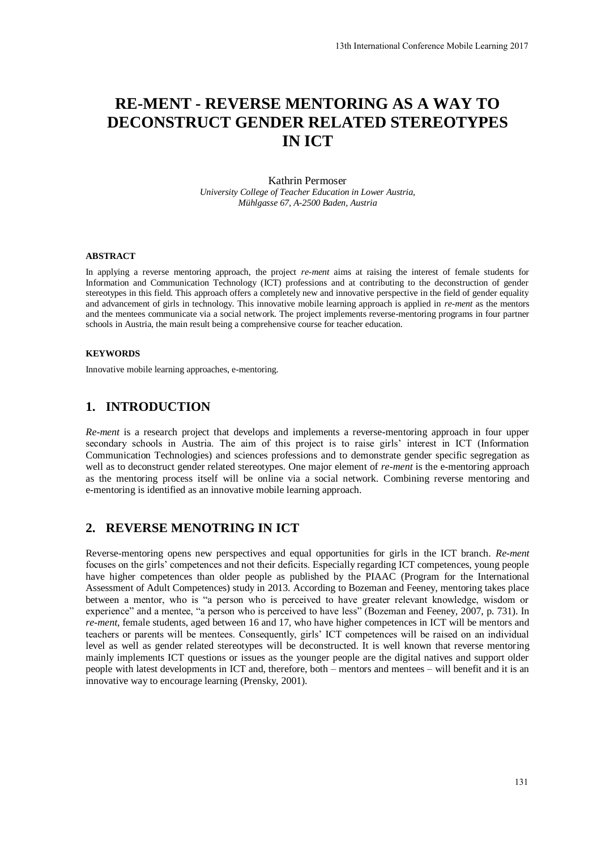# **RE-MENT - REVERSE MENTORING AS A WAY TO DECONSTRUCT GENDER RELATED STEREOTYPES IN ICT**

Kathrin Permoser *University College of Teacher Education in Lower Austria, Mühlgasse 67, A-2500 Baden, Austria*

#### **ABSTRACT**

In applying a reverse mentoring approach, the project *re-ment* aims at raising the interest of female students for Information and Communication Technology (ICT) professions and at contributing to the deconstruction of gender stereotypes in this field. This approach offers a completely new and innovative perspective in the field of gender equality and advancement of girls in technology. This innovative mobile learning approach is applied in *re-ment* as the mentors and the mentees communicate via a social network. The project implements reverse-mentoring programs in four partner schools in Austria, the main result being a comprehensive course for teacher education.

#### **KEYWORDS**

Innovative mobile learning approaches, e-mentoring.

# **1. INTRODUCTION**

*Re-ment* is a research project that develops and implements a reverse-mentoring approach in four upper secondary schools in Austria. The aim of this project is to raise girls' interest in ICT (Information Communication Technologies) and sciences professions and to demonstrate gender specific segregation as well as to deconstruct gender related stereotypes. One major element of *re-ment* is the e-mentoring approach as the mentoring process itself will be online via a social network. Combining reverse mentoring and e-mentoring is identified as an innovative mobile learning approach.

# **2. REVERSE MENOTRING IN ICT**

Reverse-mentoring opens new perspectives and equal opportunities for girls in the ICT branch. *Re-ment* focuses on the girls' competences and not their deficits. Especially regarding ICT competences, young people have higher competences than older people as published by the PIAAC (Program for the International Assessment of Adult Competences) study in 2013. According to Bozeman and Feeney, mentoring takes place between a mentor, who is "a person who is perceived to have greater relevant knowledge, wisdom or experience" and a mentee, "a person who is perceived to have less" (Bozeman and Feeney, 2007, p. 731). In *re-ment*, female students, aged between 16 and 17, who have higher competences in ICT will be mentors and teachers or parents will be mentees. Consequently, girls' ICT competences will be raised on an individual level as well as gender related stereotypes will be deconstructed. It is well known that reverse mentoring mainly implements ICT questions or issues as the younger people are the digital natives and support older people with latest developments in ICT and, therefore, both – mentors and mentees – will benefit and it is an innovative way to encourage learning (Prensky, 2001).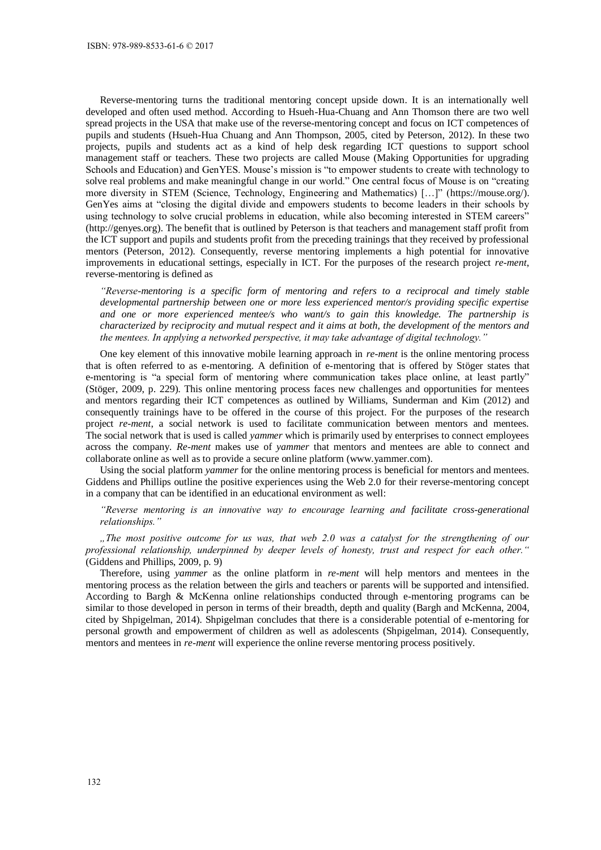Reverse-mentoring turns the traditional mentoring concept upside down. It is an internationally well developed and often used method. According to Hsueh-Hua-Chuang and Ann Thomson there are two well spread projects in the USA that make use of the reverse-mentoring concept and focus on ICT competences of pupils and students (Hsueh-Hua Chuang and Ann Thompson, 2005, cited by Peterson, 2012). In these two projects, pupils and students act as a kind of help desk regarding ICT questions to support school management staff or teachers. These two projects are called Mouse (Making Opportunities for upgrading Schools and Education) and GenYES. Mouse's mission is "to empower students to create with technology to solve real problems and make meaningful change in our world." One central focus of Mouse is on "creating more diversity in STEM (Science, Technology, Engineering and Mathematics) […]" [\(https://mouse.org/\)](https://mouse.org/). GenYes aims at "closing the digital divide and empowers students to become leaders in their schools by using technology to solve crucial problems in education, while also becoming interested in STEM careers" [\(http://genyes.org\)](http://genyes.org/). The benefit that is outlined by Peterson is that teachers and management staff profit from the ICT support and pupils and students profit from the preceding trainings that they received by professional mentors (Peterson, 2012). Consequently, reverse mentoring implements a high potential for innovative improvements in educational settings, especially in ICT. For the purposes of the research project *re-ment*, reverse-mentoring is defined as

*"Reverse-mentoring is a specific form of mentoring and refers to a reciprocal and timely stable developmental partnership between one or more less experienced mentor/s providing specific expertise and one or more experienced mentee/s who want/s to gain this knowledge. The partnership is characterized by reciprocity and mutual respect and it aims at both, the development of the mentors and the mentees. In applying a networked perspective, it may take advantage of digital technology."* 

One key element of this innovative mobile learning approach in *re-ment* is the online mentoring process that is often referred to as e-mentoring. A definition of e-mentoring that is offered by Stöger states that e-mentoring is "a special form of mentoring where communication takes place online, at least partly" (Stöger, 2009, p. 229). This online mentoring process faces new challenges and opportunities for mentees and mentors regarding their ICT competences as outlined by Williams, Sunderman and Kim (2012) and consequently trainings have to be offered in the course of this project. For the purposes of the research project *re-ment*, a social network is used to facilitate communication between mentors and mentees. The social network that is used is called *yammer* which is primarily used by enterprises to connect employees across the company. *Re-ment* makes use of *yammer* that mentors and mentees are able to connect and collaborate online as well as to provide a secure online platform (www.yammer.com).

Using the social platform *yammer* for the online mentoring process is beneficial for mentors and mentees. Giddens and Phillips outline the positive experiences using the Web 2.0 for their reverse-mentoring concept in a company that can be identified in an educational environment as well:

*"Reverse mentoring is an innovative way to encourage learning and facilitate cross-generational relationships."* 

*"The most positive outcome for us was, that web 2.0 was a catalyst for the strengthening of our professional relationship, underpinned by deeper levels of honesty, trust and respect for each other."* (Giddens and Phillips, 2009, p. 9)

Therefore, using *yammer* as the online platform in *re-ment* will help mentors and mentees in the mentoring process as the relation between the girls and teachers or parents will be supported and intensified. According to Bargh & McKenna online relationships conducted through e-mentoring programs can be similar to those developed in person in terms of their breadth, depth and quality (Bargh and McKenna, 2004, cited by Shpigelman, 2014). Shpigelman concludes that there is a considerable potential of e-mentoring for personal growth and empowerment of children as well as adolescents (Shpigelman, 2014). Consequently, mentors and mentees in *re-ment* will experience the online reverse mentoring process positively.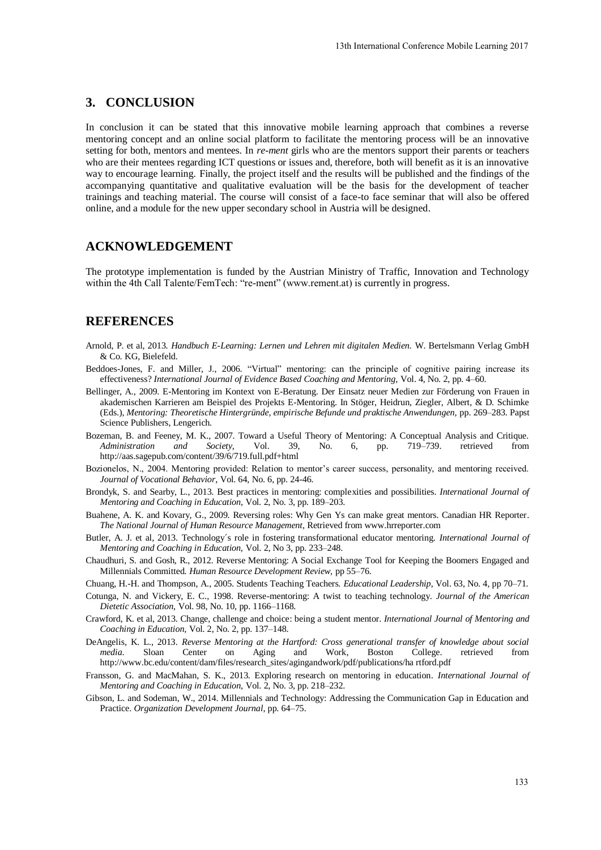## **3. CONCLUSION**

In conclusion it can be stated that this innovative mobile learning approach that combines a reverse mentoring concept and an online social platform to facilitate the mentoring process will be an innovative setting for both, mentors and mentees. In *re-ment* girls who are the mentors support their parents or teachers who are their mentees regarding ICT questions or issues and, therefore, both will benefit as it is an innovative way to encourage learning. Finally, the project itself and the results will be published and the findings of the accompanying quantitative and qualitative evaluation will be the basis for the development of teacher trainings and teaching material. The course will consist of a face-to face seminar that will also be offered online, and a module for the new upper secondary school in Austria will be designed.

### **ACKNOWLEDGEMENT**

The prototype implementation is funded by the Austrian Ministry of Traffic, Innovation and Technology within the 4th Call Talente/FemTech: "re-ment" (www.rement.at) is currently in progress.

## **REFERENCES**

- Arnold, P. et al, 2013. *Handbuch E-Learning: Lernen und Lehren mit digitalen Medien.* W. Bertelsmann Verlag GmbH & Co. KG, Bielefeld.
- Beddoes-Jones, F. and Miller, J., 2006. "Virtual" mentoring: can the principle of cognitive pairing increase its effectiveness? *International Journal of Evidence Based Coaching and Mentoring,* Vol. 4, No. 2, pp. 4–60.
- Bellinger, A., 2009. E-Mentoring im Kontext von E-Beratung. Der Einsatz neuer Medien zur Förderung von Frauen in akademischen Karrieren am Beispiel des Projekts E-Mentoring. In Stöger, Heidrun, Ziegler, Albert, & D. Schimke (Eds.), *Mentoring: Theoretische Hintergründe, empirische Befunde und praktische Anwendungen,* pp. 269–283. Papst Science Publishers, Lengerich.
- Bozeman, B. and Feeney, M. K., 2007. Toward a Useful Theory of Mentoring: A Conceptual Analysis and Critique. *Administration and Society,* Vol. 39, No. 6, pp. 719–739. retrieved from http://aas.sagepub.com/content/39/6/719.full.pdf+html
- Bozionelos, N., 2004. Mentoring provided: Relation to mentor's career success, personality, and mentoring received. *Journal of Vocational Behavior*, Vol. 64, No. 6, pp. 24-46.
- Brondyk, S. and Searby, L., 2013. Best practices in mentoring: complexities and possibilities. *International Journal of Mentoring and Coaching in Education*, Vol. 2, No. 3, pp. 189–203.
- Buahene, A. K. and Kovary, G., 2009. Reversing roles: Why Gen Ys can make great mentors. Canadian HR Reporter*. The National Journal of Human Resource Management,* Retrieved from www.hrreporter.com
- Butler, A. J. et al, 2013. Technology´s role in fostering transformational educator mentoring. *International Journal of Mentoring and Coaching in Education,* Vol. 2, No 3, pp. 233–248.
- Chaudhuri, S. and Gosh, R., 2012. Reverse Mentoring: A Social Exchange Tool for Keeping the Boomers Engaged and Millennials Committed*. Human Resource Development Review,* pp 55–76.
- Chuang, H.-H. and Thompson, A., 2005. Students Teaching Teachers. *Educational Leadership*, Vol. 63, No. 4, pp 70–71.
- Cotunga, N. and Vickery, E. C., 1998. Reverse-mentoring: A twist to teaching technology. *Journal of the American Dietetic Association,* Vol. 98, No. 10, pp. 1166–1168.
- Crawford, K. et al, 2013. Change, challenge and choice: being a student mentor. *International Journal of Mentoring and Coaching in Education,* Vol. 2, No. 2, pp. 137–148.
- DeAngelis, K. L., 2013. *Reverse Mentoring at the Hartford: Cross generational transfer of knowledge about social media.* Sloan Center on Aging and Work, Boston College. retrieved from http://www.bc.edu/content/dam/files/research\_sites/agingandwork/pdf/publications/ha rtford.pdf
- Fransson, G. and MacMahan, S. K., 2013. Exploring research on mentoring in education*. International Journal of Mentoring and Coaching in Education,* Vol. 2, No. 3, pp. 218–232.
- Gibson, L. and Sodeman, W., 2014. Millennials and Technology: Addressing the Communication Gap in Education and Practice. *Organization Development Journal*, pp. 64–75.